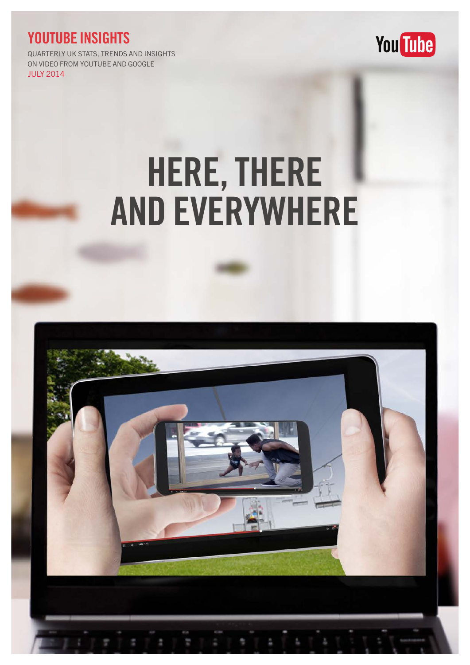### YOUTUBE INSIGHTS

QUARTERLY UK STATS, TRENDS AND INSIGHTS ON VIDEO FROM YOUTUBE AND GOOGLE JULY 2014



# HERE, THERE AND EVERYWHERE

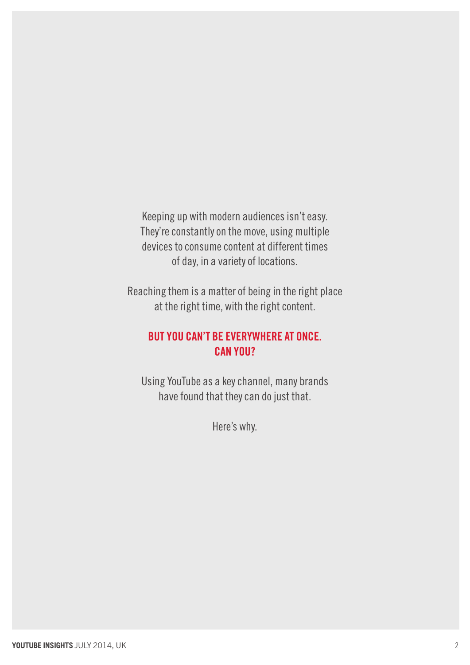Keeping up with modern audiences isn't easy. They're constantly on the move, using multiple devices to consume content at different times of day, in a variety of locations.

Reaching them is a matter of being in the right place at the right time, with the right content.

### But you can't be everywhere at once. Can you?

Using YouTube as a key channel, many brands have found that they can do just that.

Here's why.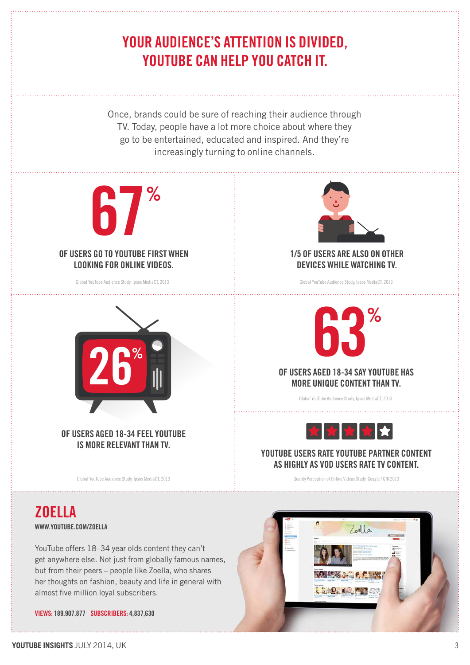## YOUR AUDIENCE'S ATTENTION IS DIVIDED, YOUTUBE CAN HELP YOU CATCH IT.

Once, brands could be sure of reaching their audience through TV. Today, people have a lot more choice about where they go to be entertained, educated and inspired. And they're increasingly turning to online channels.



of users aged 18-34 feel YouTube IS MORE RELEVANT THAN TV.

Global YouTube Audience Study, Ipsos MediaCT, 2013



YouTube offers 18–34 year olds content they can't get anywhere else. Not just from globally famous names, but from their peers – people like Zoella, who shares her thoughts on fashion, beauty and life in general with almost five million loyal subscribers.

VIEWS: 189,907,877 SUBSCRIBERS: 4,837,630



### 1/5 of users are also on other devices while watching TV.



Global YouTube Audience Study, Ipsos MediaCT, 2013



#### YOUTUBE USERS RATE YOUTUBE PARTNER CONTENT as highly as VOD users rate TV content.

Quality Perception of Online Videos Study, Google / GfK 2013

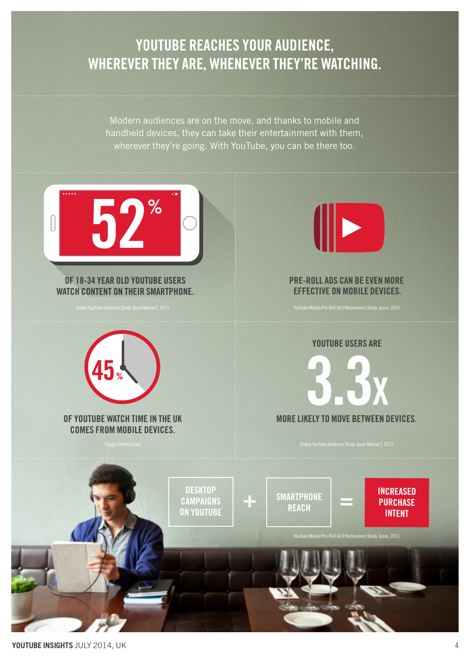### YOUTUBE REACHES YOUR AUDIENCE, wherever they are, whenever they're watching.

Modern audiences are on the move, and thanks to mobile and handheld devices, they can take their entertainment with them, wherever they're going. With YouTube, you can be there too.

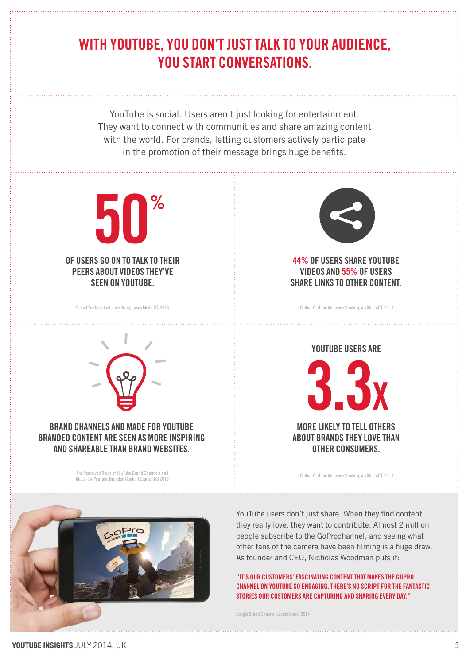### WITH YOUTUBE, YOU DON'T JUST TALK TO YOUR AUDIENCE, YOU START CONVERSATIONS.

YouTube is social. Users aren't just looking for entertainment. They want to connect with communities and share amazing content with the world. For brands, letting customers actively participate in the promotion of their message brings huge benefits.



Global YouTube Audience Study, Ipsos MediaCT, 2013



### Brand channels and made for YouTube branded content are seen as more inspiring and shareable than brand websites.

The Perceived Roles of YouTube Brand Channels and Made-for-YouTube Branded Content Study, TNS 2013



44% of users share YouTube videos and 55% of users share links to other content.

Global YouTube Audience Study, Ipsos MediaCT, 2013



Global YouTube Audience Study, Ipsos MediaCT, 2013



YouTube users don't just share. When they find content they really love, they want to contribute. Almost 2 million people subscribe to the GoProchannel, and seeing what other fans of the camera have been filming is a huge draw. As founder and CEO, Nicholas Woodman puts it:

"It's our customers' fascinating contentthat makes the GoPro CHANNEL ON YOUTUBE SO ENGAGING. THERE'S NO SCRIPT FOR THE FANTASTIC stories our customers are capturing and sharing every day ."

[Google Brand Channel Leaderboard, 2014](http://www.thinkwithgoogle.com/ads-leaderboards/brand-channel-leaderboard-mar14.html)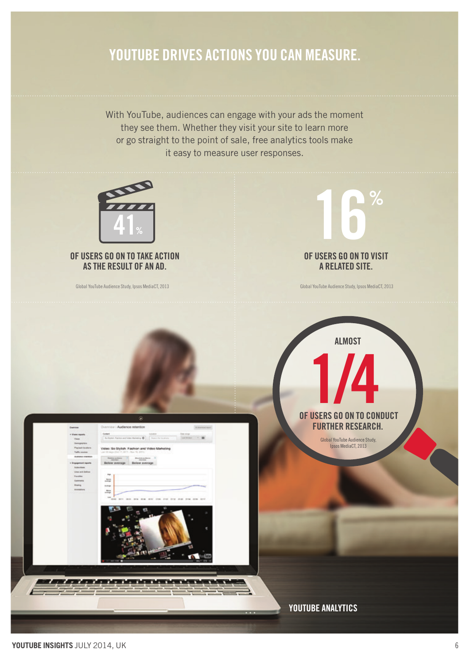### YOUTUBE DRIVES ACTIONS YOU CAN MEASURE.

With YouTube, audiences can engage with your ads the moment they see them. Whether they visit your site to learn more or go straight to the point of sale, free analytics tools make it easy to measure user responses.

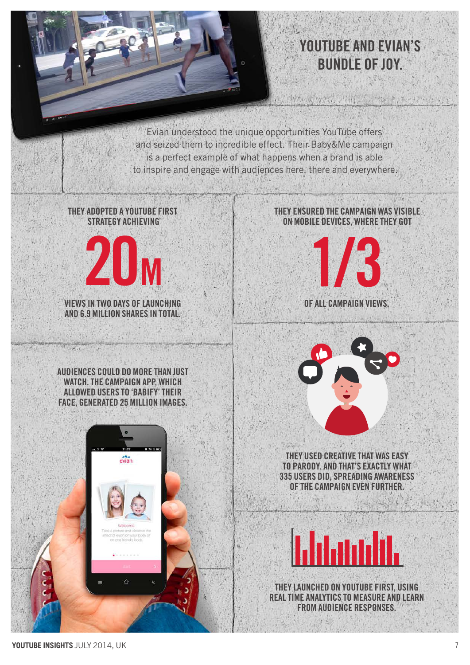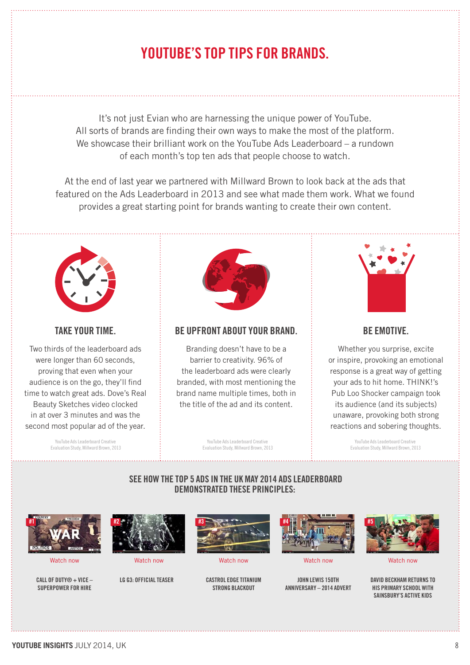### YouTube's Top Tips for BRANDS.

It's not just Evian who are harnessing the unique power of YouTube. All sorts of brands are finding their own ways to make the most of the platform. We showcase their brilliant work on the YouTube Ads Leaderboard – a rundown of each month's top ten ads that people choose to watch.

At the end of last year we partnered with Millward Brown to look back at the ads that featured on the Ads Leaderboard in 2013 and see what made them work. What we found provides a great starting point for brands wanting to create their own content.



#### take your time.

Two thirds of the leaderboard ads were longer than 60 seconds, proving that even when your audience is on the go, they'll find time to watch great ads. Dove's Real Beauty Sketches video clocked in at over 3 minutes and was the second most popular ad of the year.

> YouTube Ads Leaderboard Creative Evaluation Study, Millward Brown, 2013



#### Be upfront about your branD.

Branding doesn't have to be a barrier to creativity. 96% of the leaderboard ads were clearly branded, with most mentioning the brand name multiple times, both in the title of the ad and its content.



#### BE EMOTIVE.

Whether you surprise, excite or inspire, provoking an emotional response is a great way of getting your ads to hit home. THINK!'s Pub Loo Shocker campaign took its audience (and its subjects) unaware, provoking both strong reactions and sobering thoughts.

YouTube Ads Leaderboard Creative Evaluation Study, Millward Brown, 2013

YouTube Ads Leaderboard Creative Evaluation Study, Millward Brown, 2013

#### See how the top 5 ads in the UK MAY 2014 Ads Leaderboard demonstrated these principles:



Call of duty® + VICE – superpower for hire



LG G3: OFFICIAL TEASER CASTROL EDGE TITANIUM



strong blackout



[Watch now](https://www.youtube.com/watch?v=OE17D8C6O4A) [Watch now](http://www.youtube.com/watch?v=83Xm26Zvo18) [Watch now](http://www.youtube.com/watch?v=0WKis4NYLHo) [Watch now](http://www.youtube.com/watch?v=OAxO6KEbTiI) [Watch now](http://www.youtube.com/watch?v=G3xzem7HSME)

john lewis 150th anniversary – 2014 advert



david beckham returns to his primary school with sainsbury's active kids